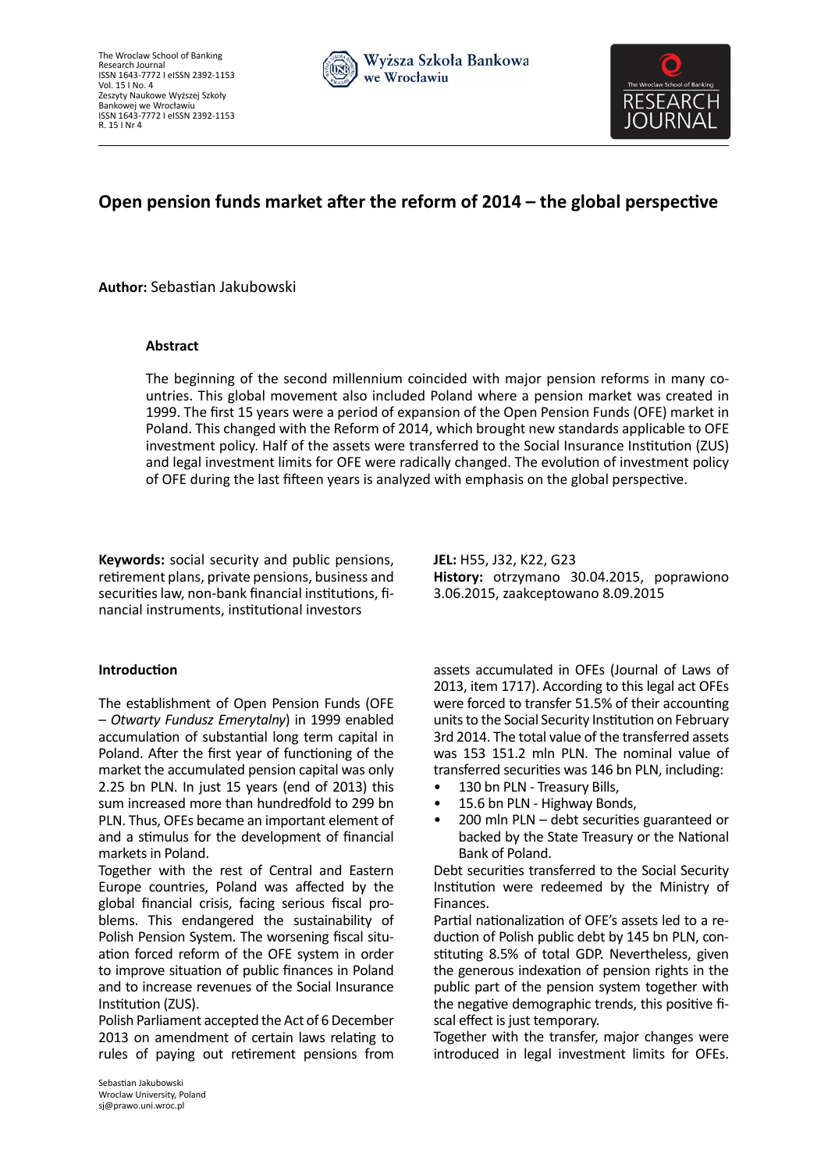



# **Open pension funds market after the reform of 2014 – the global perspective**

**Author:** Sebastian Jakubowski

# **Abstract**

The beginning of the second millennium coincided with major pension reforms in many countries. This global movement also included Poland where a pension market was created in 1999. The first 15 years were a period of expansion of the Open Pension Funds (OFE) market in Poland. This changed with the Reform of 2014, which brought new standards applicable to OFE investment policy. Half of the assets were transferred to the Social Insurance Institution (ZUS) and legal investment limits for OFE were radically changed. The evolution of investment policy of OFE during the last fifteen years is analyzed with emphasis on the global perspective.

**Keywords:** social security and public pensions, retirement plans, private pensions, business and securities law, non-bank financial institutions, financial instruments, institutional investors

# **Introduction**

The establishment of Open Pension Funds (OFE – *Otwarty Fundusz Emerytalny*) in 1999 enabled accumulation of substantial long term capital in Poland. After the first year of functioning of the market the accumulated pension capital was only 2.25 bn PLN. In just 15 years (end of 2013) this sum increased more than hundredfold to 299 bn PLN. Thus, OFEs became an important element of and a stimulus for the development of financial markets in Poland.

Together with the rest of Central and Eastern Europe countries, Poland was affected by the global financial crisis, facing serious fiscal problems. This endangered the sustainability of Polish Pension System. The worsening fiscal situation forced reform of the OFE system in order to improve situation of public finances in Poland and to increase revenues of the Social Insurance Institution (ZUS).

Polish Parliament accepted the Act of 6 December 2013 on amendment of certain laws relating to rules of paying out retirement pensions from

**JEL:** H55, J32, K22, G23 **History:** otrzymano 30.04.2015, poprawiono 3.06.2015, zaakceptowano 8.09.2015

assets accumulated in OFEs (Journal of Laws of 2013, item 1717). According to this legal act OFEs were forced to transfer 51.5% of their accounting units to the Social Security Institution on February 3rd 2014. The total value of the transferred assets was 153 151.2 mln PLN. The nominal value of transferred securities was 146 bn PLN, including:

- 130 bn PLN Treasury Bills,
- 15.6 bn PLN Highway Bonds,
- 200 mln PLN debt securities guaranteed or backed by the State Treasury or the National Bank of Poland.

Debt securities transferred to the Social Security Institution were redeemed by the Ministry of Finances.

Partial nationalization of OFE's assets led to a reduction of Polish public debt by 145 bn PLN, constituting 8.5% of total GDP. Nevertheless, given the generous indexation of pension rights in the public part of the pension system together with the negative demographic trends, this positive fiscal effect is just temporary.

Together with the transfer, major changes were introduced in legal investment limits for OFEs.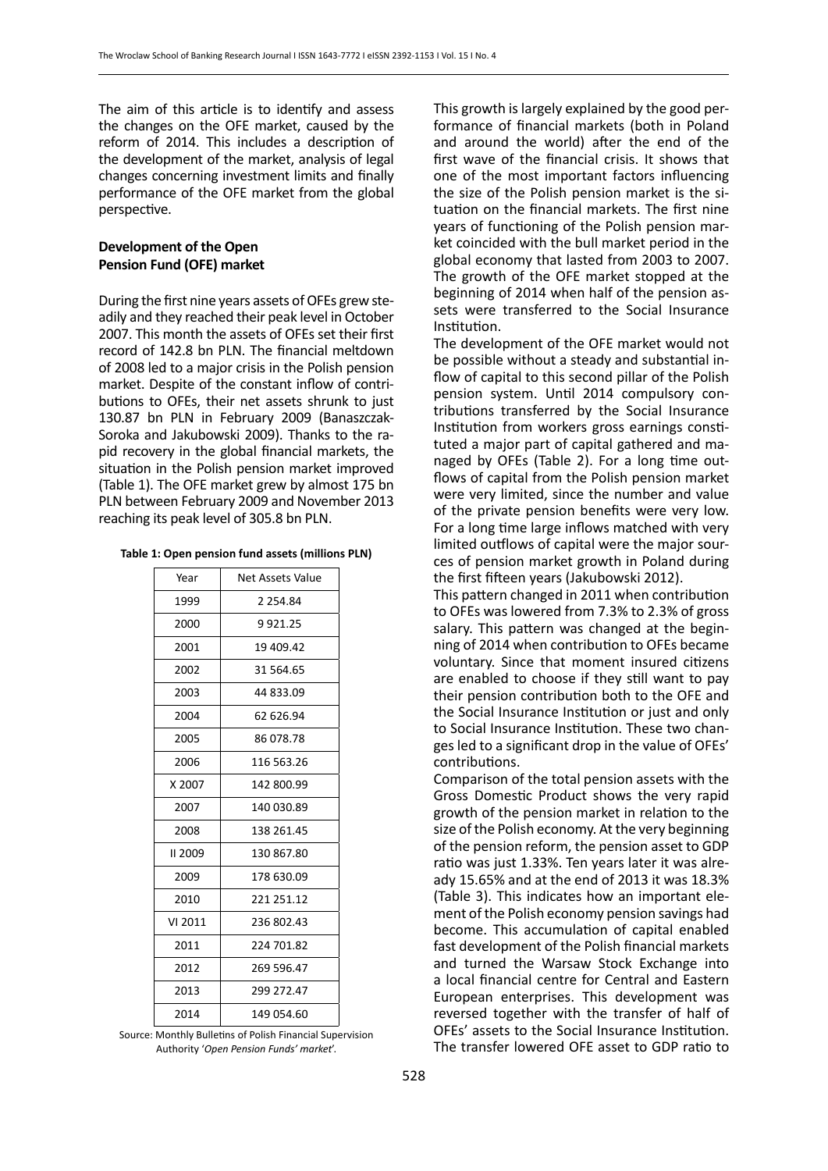The aim of this article is to identify and assess the changes on the OFE market, caused by the reform of 2014. This includes a description of the development of the market, analysis of legal changes concerning investment limits and finally performance of the OFE market from the global perspective.

# **Development of the Open Pension Fund (OFE) market**

During the first nine years assets of OFEs grew steadily and they reached their peak level in October 2007. This month the assets of OFEs set their first record of 142.8 bn PLN. The financial meltdown of 2008 led to a major crisis in the Polish pension market. Despite of the constant inflow of contributions to OFEs, their net assets shrunk to just 130.87 bn PLN in February 2009 (Banaszczak-Soroka and Jakubowski 2009). Thanks to the rapid recovery in the global financial markets, the situation in the Polish pension market improved (Table 1). The OFE market grew by almost 175 bn PLN between February 2009 and November 2013 reaching its peak level of 305.8 bn PLN.

|  | Table 1: Open pension fund assets (millions PLN) |  |  |  |
|--|--------------------------------------------------|--|--|--|
|--|--------------------------------------------------|--|--|--|

| Year    | Net Assets Value |  |
|---------|------------------|--|
| 1999    | 2 2 5 4 . 8 4    |  |
| 2000    | 9921.25          |  |
| 2001    | 19 409.42        |  |
| 2002    | 31 564.65        |  |
| 2003    | 44 833.09        |  |
| 2004    | 62 626.94        |  |
| 2005    | 86 078.78        |  |
| 2006    | 116 563.26       |  |
| X 2007  | 142 800.99       |  |
| 2007    | 140 030.89       |  |
| 2008    | 138 261.45       |  |
| II 2009 | 130 867.80       |  |
| 2009    | 178 630.09       |  |
| 2010    | 221 251.12       |  |
| VI 2011 | 236 802.43       |  |
| 2011    | 224 701.82       |  |
| 2012    | 269 596.47       |  |
| 2013    | 299 272.47       |  |
| 2014    | 149 054.60       |  |

Source: Monthly Bulletins of Polish Financial Supervision Authority '*Open Pension Funds' market*'.

This growth is largely explained by the good performance of financial markets (both in Poland and around the world) after the end of the first wave of the financial crisis. It shows that one of the most important factors influencing the size of the Polish pension market is the situation on the financial markets. The first nine years of functioning of the Polish pension market coincided with the bull market period in the global economy that lasted from 2003 to 2007. The growth of the OFE market stopped at the beginning of 2014 when half of the pension assets were transferred to the Social Insurance Institution.

The development of the OFE market would not be possible without a steady and substantial inflow of capital to this second pillar of the Polish pension system. Until 2014 compulsory contributions transferred by the Social Insurance Institution from workers gross earnings constituted a major part of capital gathered and managed by OFEs (Table 2). For a long time outflows of capital from the Polish pension market were very limited, since the number and value of the private pension benefits were very low. For a long time large inflows matched with very limited outflows of capital were the major sources of pension market growth in Poland during the first fifteen years (Jakubowski 2012).

This pattern changed in 2011 when contribution to OFEs was lowered from 7.3% to 2.3% of gross salary. This pattern was changed at the beginning of 2014 when contribution to OFEs became voluntary. Since that moment insured citizens are enabled to choose if they still want to pay their pension contribution both to the OFE and the Social Insurance Institution or just and only to Social Insurance Institution. These two changes led to a significant drop in the value of OFEs' contributions.

Comparison of the total pension assets with the Gross Domestic Product shows the very rapid growth of the pension market in relation to the size of the Polish economy. At the very beginning of the pension reform, the pension asset to GDP ratio was just 1.33%. Ten years later it was already 15.65% and at the end of 2013 it was 18.3% (Table 3). This indicates how an important element of the Polish economy pension savings had become. This accumulation of capital enabled fast development of the Polish financial markets and turned the Warsaw Stock Exchange into a local financial centre for Central and Eastern European enterprises. This development was reversed together with the transfer of half of OFEs' assets to the Social Insurance Institution. The transfer lowered OFE asset to GDP ratio to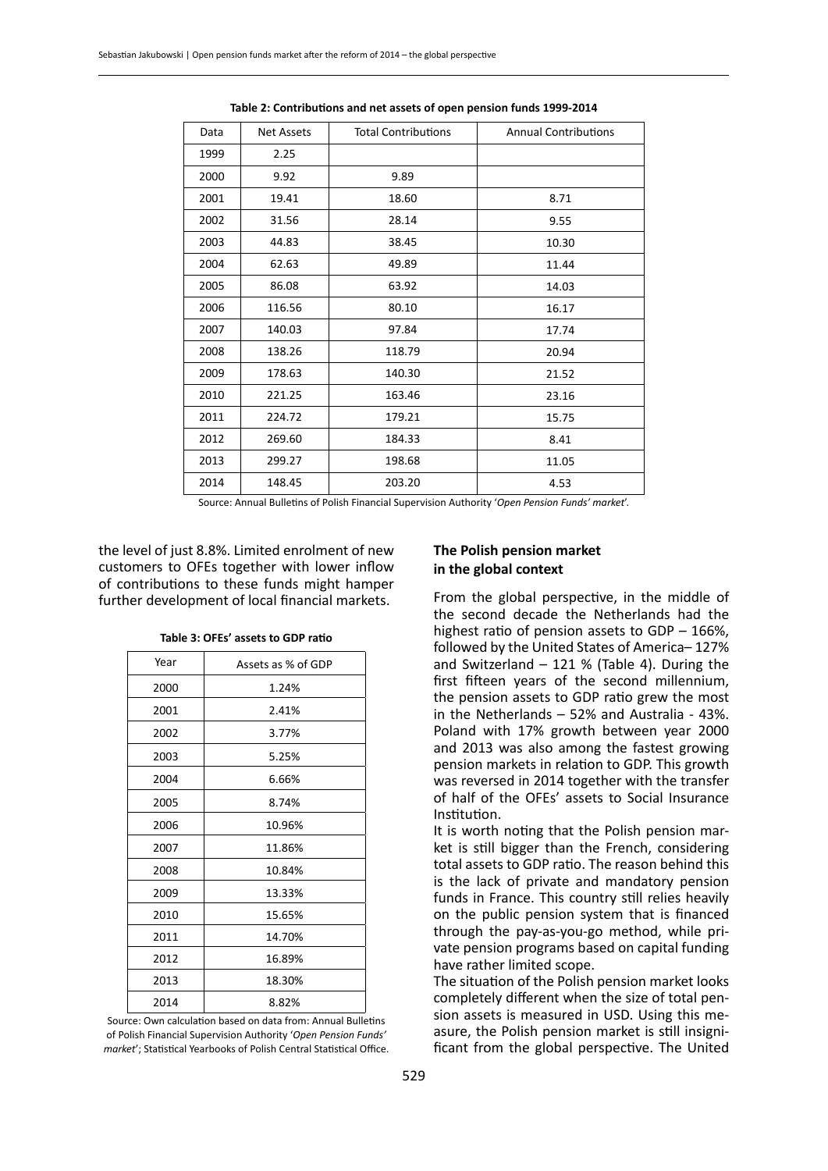| Data | <b>Net Assets</b> | <b>Total Contributions</b> | <b>Annual Contributions</b> |
|------|-------------------|----------------------------|-----------------------------|
| 1999 | 2.25              |                            |                             |
| 2000 | 9.92              | 9.89                       |                             |
| 2001 | 19.41             | 18.60                      | 8.71                        |
| 2002 | 31.56             | 28.14                      | 9.55                        |
| 2003 | 44.83             | 38.45                      | 10.30                       |
| 2004 | 62.63             | 49.89                      | 11.44                       |
| 2005 | 86.08             | 63.92                      | 14.03                       |
| 2006 | 116.56            | 80.10                      | 16.17                       |
| 2007 | 140.03            | 97.84                      | 17.74                       |
| 2008 | 138.26            | 118.79                     | 20.94                       |
| 2009 | 178.63            | 140.30                     | 21.52                       |
| 2010 | 221.25            | 163.46                     | 23.16                       |
| 2011 | 224.72            | 179.21                     | 15.75                       |
| 2012 | 269.60            | 184.33                     | 8.41                        |
| 2013 | 299.27            | 198.68                     | 11.05                       |
| 2014 | 148.45            | 203.20                     | 4.53                        |

**Table 2: Contributions and net assets of open pension funds 1999-2014**

Source: Annual Bulletins of Polish Financial Supervision Authority '*Open Pension Funds' market*'.

the level of just 8.8%. Limited enrolment of new customers to OFEs together with lower inflow of contributions to these funds might hamper further development of local financial markets.

| Year | Assets as % of GDP |  |
|------|--------------------|--|
| 2000 | 1.24%              |  |
| 2001 | 2.41%              |  |
| 2002 | 3.77%              |  |
| 2003 | 5.25%              |  |
| 2004 | 6.66%              |  |
| 2005 | 8.74%              |  |
| 2006 | 10.96%             |  |
| 2007 | 11.86%             |  |
| 2008 | 10.84%             |  |
| 2009 | 13.33%             |  |
| 2010 | 15.65%             |  |
| 2011 | 14.70%             |  |
| 2012 | 16.89%             |  |
| 2013 | 18.30%             |  |
| 2014 | 8.82%              |  |

**Table 3: OFEs' assets to GDP ratio**

Source: Own calculation based on data from: Annual Bulletins of Polish Financial Supervision Authority '*Open Pension Funds' market*'; Statistical Yearbooks of Polish Central Statistical Office.

#### **The Polish pension market in the global context**

From the global perspective, in the middle of the second decade the Netherlands had the highest ratio of pension assets to GDP – 166%, followed by the United States of America– 127% and Switzerland  $-121$  % (Table 4). During the first fifteen years of the second millennium, the pension assets to GDP ratio grew the most in the Netherlands – 52% and Australia - 43%. Poland with 17% growth between year 2000 and 2013 was also among the fastest growing pension markets in relation to GDP. This growth was reversed in 2014 together with the transfer of half of the OFEs' assets to Social Insurance Institution.

It is worth noting that the Polish pension market is still bigger than the French, considering total assets to GDP ratio. The reason behind this is the lack of private and mandatory pension funds in France. This country still relies heavily on the public pension system that is financed through the pay-as-you-go method, while private pension programs based on capital funding have rather limited scope.

The situation of the Polish pension market looks completely different when the size of total pension assets is measured in USD. Using this measure, the Polish pension market is still insignificant from the global perspective. The United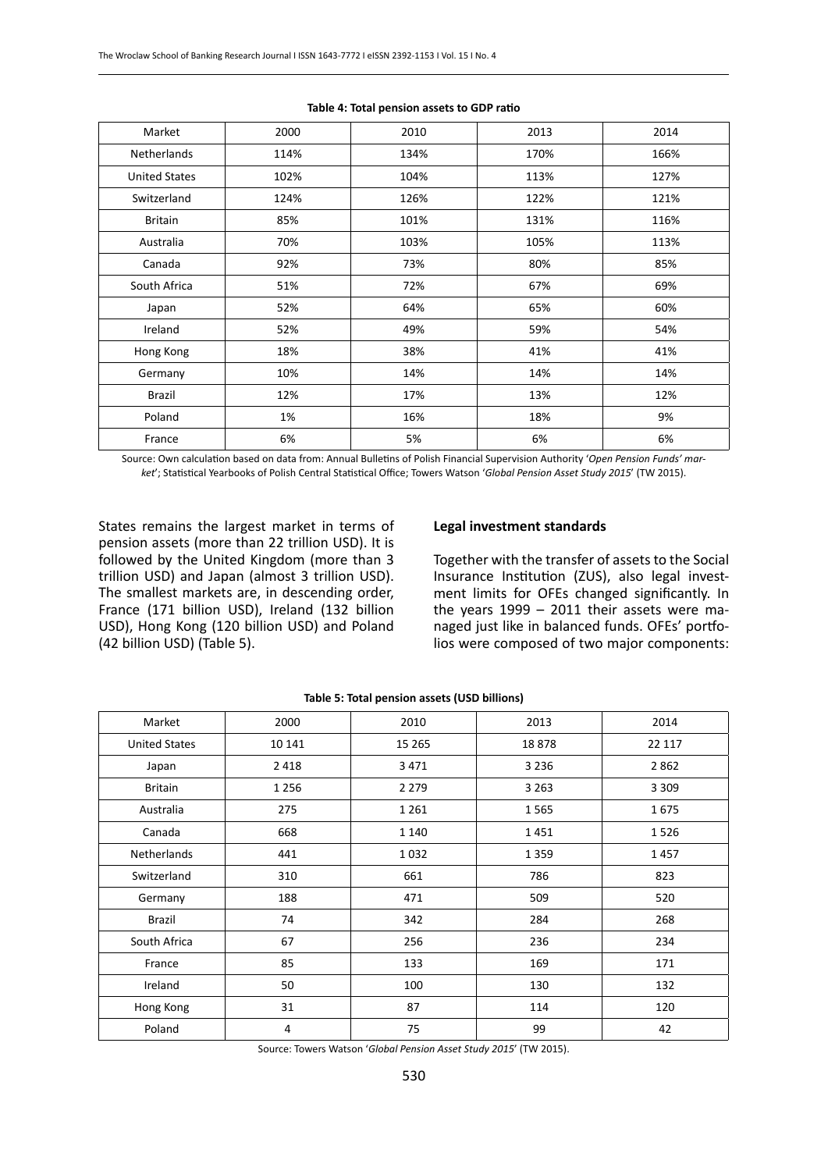| Market               | 2000 | 2010 | 2013 | 2014 |
|----------------------|------|------|------|------|
| <b>Netherlands</b>   | 114% | 134% | 170% | 166% |
| <b>United States</b> | 102% | 104% | 113% | 127% |
| Switzerland          | 124% | 126% | 122% | 121% |
| <b>Britain</b>       | 85%  | 101% | 131% | 116% |
| Australia            | 70%  | 103% | 105% | 113% |
| Canada               | 92%  | 73%  | 80%  | 85%  |
| South Africa         | 51%  | 72%  | 67%  | 69%  |
| Japan                | 52%  | 64%  | 65%  | 60%  |
| Ireland              | 52%  | 49%  | 59%  | 54%  |
| Hong Kong            | 18%  | 38%  | 41%  | 41%  |
| Germany              | 10%  | 14%  | 14%  | 14%  |
| Brazil               | 12%  | 17%  | 13%  | 12%  |
| Poland               | 1%   | 16%  | 18%  | 9%   |
| France               | 6%   | 5%   | 6%   | 6%   |

#### **Table 4: Total pension assets to GDP ratio**

Source: Own calculation based on data from: Annual Bulletins of Polish Financial Supervision Authority '*Open Pension Funds' market*'; Statistical Yearbooks of Polish Central Statistical Office; Towers Watson '*Global Pension Asset Study 2015*' (TW 2015).

States remains the largest market in terms of pension assets (more than 22 trillion USD). It is followed by the United Kingdom (more than 3 trillion USD) and Japan (almost 3 trillion USD). The smallest markets are, in descending order, France (171 billion USD), Ireland (132 billion USD), Hong Kong (120 billion USD) and Poland (42 billion USD) (Table 5).

#### **Legal investment standards**

Together with the transfer of assets to the Social Insurance Institution (ZUS), also legal investment limits for OFEs changed significantly. In the years 1999 – 2011 their assets were managed just like in balanced funds. OFEs' portfolios were composed of two major components:

| Market               | 2000    | 2010    | 2013    | 2014    |
|----------------------|---------|---------|---------|---------|
| <b>United States</b> | 10 141  | 15 265  | 18878   | 22 117  |
| Japan                | 2 4 1 8 | 3471    | 3 2 3 6 | 2862    |
| <b>Britain</b>       | 1 2 5 6 | 2 2 7 9 | 3 2 6 3 | 3 3 0 9 |
| Australia            | 275     | 1 2 6 1 | 1565    | 1675    |
| Canada               | 668     | 1 1 4 0 | 1451    | 1526    |
| Netherlands          | 441     | 1032    | 1 3 5 9 | 1457    |
| Switzerland          | 310     | 661     | 786     | 823     |
| Germany              | 188     | 471     | 509     | 520     |
| <b>Brazil</b>        | 74      | 342     | 284     | 268     |
| South Africa         | 67      | 256     | 236     | 234     |
| France               | 85      | 133     | 169     | 171     |
| Ireland              | 50      | 100     | 130     | 132     |
| Hong Kong            | 31      | 87      | 114     | 120     |
| Poland               | 4       | 75      | 99      | 42      |

#### **Table 5: Total pension assets (USD billions)**

Source: Towers Watson '*Global Pension Asset Study 2015*' (TW 2015).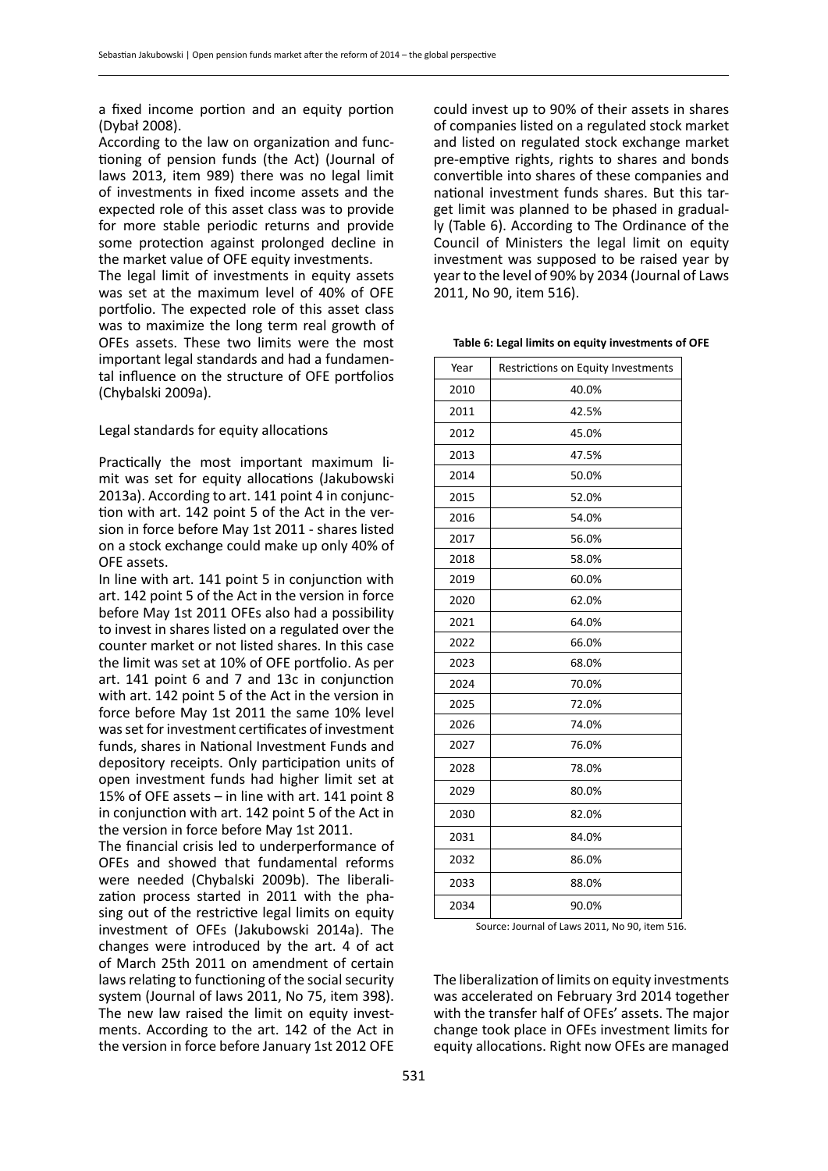a fixed income portion and an equity portion (Dybał 2008).

According to the law on organization and functioning of pension funds (the Act) (Journal of laws 2013, item 989) there was no legal limit of investments in fixed income assets and the expected role of this asset class was to provide for more stable periodic returns and provide some protection against prolonged decline in the market value of OFE equity investments.

The legal limit of investments in equity assets was set at the maximum level of 40% of OFE portfolio. The expected role of this asset class was to maximize the long term real growth of OFEs assets. These two limits were the most important legal standards and had a fundamental influence on the structure of OFE portfolios (Chybalski 2009a).

Legal standards for equity allocations

Practically the most important maximum limit was set for equity allocations (Jakubowski 2013a). According to art. 141 point 4 in conjunction with art. 142 point 5 of the Act in the version in force before May 1st 2011 - shares listed on a stock exchange could make up only 40% of OFE assets.

In line with art. 141 point 5 in conjunction with art. 142 point 5 of the Act in the version in force before May 1st 2011 OFEs also had a possibility to invest in shares listed on a regulated over the counter market or not listed shares. In this case the limit was set at 10% of OFE portfolio. As per art. 141 point 6 and 7 and 13c in conjunction with art. 142 point 5 of the Act in the version in force before May 1st 2011 the same 10% level was set for investment certificates of investment funds, shares in National Investment Funds and depository receipts. Only participation units of open investment funds had higher limit set at 15% of OFE assets – in line with art. 141 point 8 in conjunction with art. 142 point 5 of the Act in the version in force before May 1st 2011.

The financial crisis led to underperformance of OFEs and showed that fundamental reforms were needed (Chybalski 2009b). The liberalization process started in 2011 with the phasing out of the restrictive legal limits on equity investment of OFEs (Jakubowski 2014a). The changes were introduced by the art. 4 of act of March 25th 2011 on amendment of certain laws relating to functioning of the social security system (Journal of laws 2011, No 75, item 398). The new law raised the limit on equity investments. According to the art. 142 of the Act in the version in force before January 1st 2012 OFE could invest up to 90% of their assets in shares of companies listed on a regulated stock market and listed on regulated stock exchange market pre-emptive rights, rights to shares and bonds convertible into shares of these companies and national investment funds shares. But this target limit was planned to be phased in gradually (Table 6). According to The Ordinance of the Council of Ministers the legal limit on equity investment was supposed to be raised year by year to the level of 90% by 2034 (Journal of Laws 2011, No 90, item 516).

**Table 6: Legal limits on equity investments of OFE**

| Year | Restrictions on Equity Investments |
|------|------------------------------------|
| 2010 | 40.0%                              |
| 2011 | 42.5%                              |
| 2012 | 45.0%                              |
| 2013 | 47.5%                              |
| 2014 | 50.0%                              |
| 2015 | 52.0%                              |
| 2016 | 54.0%                              |
| 2017 | 56.0%                              |
| 2018 | 58.0%                              |
| 2019 | 60.0%                              |
| 2020 | 62.0%                              |
| 2021 | 64.0%                              |
| 2022 | 66.0%                              |
| 2023 | 68.0%                              |
| 2024 | 70.0%                              |
| 2025 | 72.0%                              |
| 2026 | 74.0%                              |
| 2027 | 76.0%                              |
| 2028 | 78.0%                              |
| 2029 | 80.0%                              |
| 2030 | 82.0%                              |
| 2031 | 84.0%                              |
| 2032 | 86.0%                              |
| 2033 | 88.0%                              |
| 2034 | 90.0%                              |

Source: Journal of Laws 2011, No 90, item 516.

The liberalization of limits on equity investments was accelerated on February 3rd 2014 together with the transfer half of OFEs' assets. The major change took place in OFEs investment limits for equity allocations. Right now OFEs are managed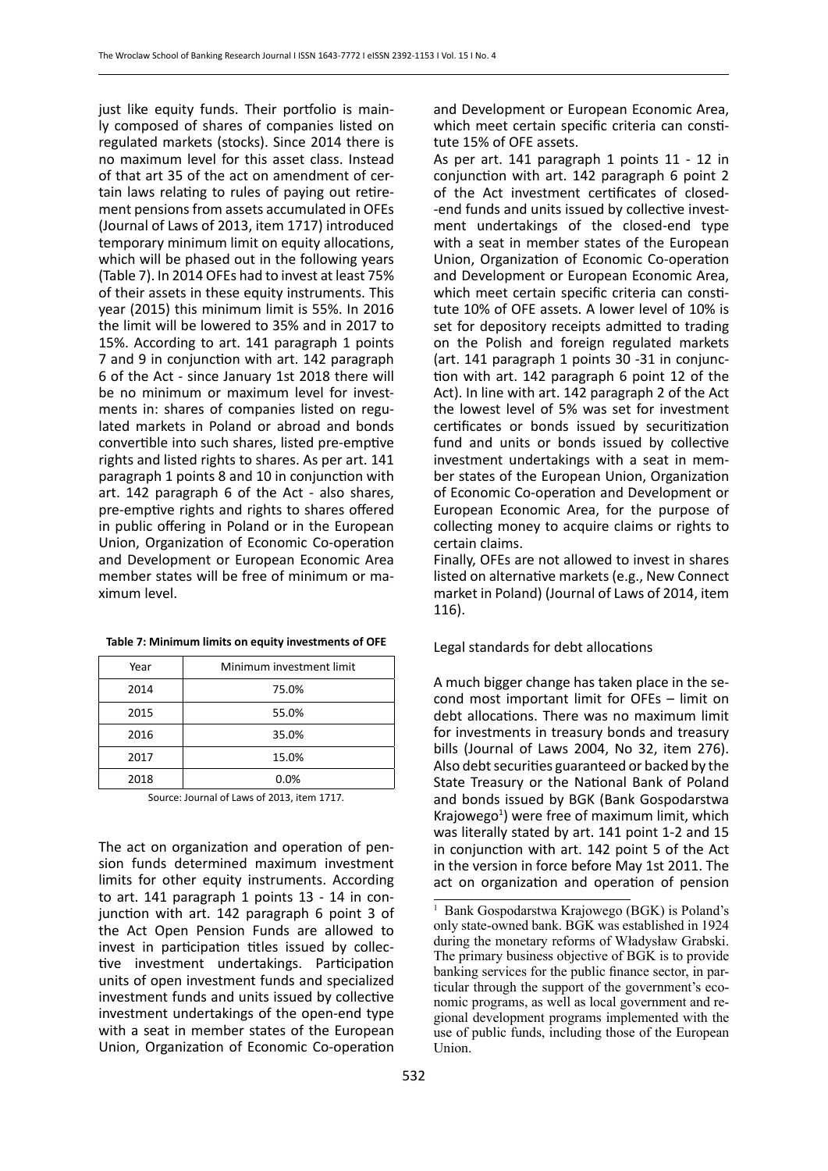just like equity funds. Their portfolio is mainly composed of shares of companies listed on regulated markets (stocks). Since 2014 there is no maximum level for this asset class. Instead of that art 35 of the act on amendment of certain laws relating to rules of paying out retirement pensions from assets accumulated in OFEs (Journal of Laws of 2013, item 1717) introduced temporary minimum limit on equity allocations, which will be phased out in the following years (Table 7). In 2014 OFEs had to invest at least 75% of their assets in these equity instruments. This year (2015) this minimum limit is 55%. In 2016 the limit will be lowered to 35% and in 2017 to 15%. According to art. 141 paragraph 1 points 7 and 9 in conjunction with art. 142 paragraph 6 of the Act - since January 1st 2018 there will be no minimum or maximum level for investments in: shares of companies listed on regulated markets in Poland or abroad and bonds convertible into such shares, listed pre-emptive rights and listed rights to shares. As per art. 141 paragraph 1 points 8 and 10 in conjunction with art. 142 paragraph 6 of the Act - also shares, pre-emptive rights and rights to shares offered in public offering in Poland or in the European Union, Organization of Economic Co-operation and Development or European Economic Area member states will be free of minimum or maximum level.

| Year | Minimum investment limit |
|------|--------------------------|
| 2014 | 75.0%                    |
| 2015 | 55.0%                    |
| 2016 | 35.0%                    |
| 2017 | 15.0%                    |
| 2018 | 0.0%                     |

Source: Journal of Laws of 2013, item 1717.

The act on organization and operation of pension funds determined maximum investment limits for other equity instruments. According to art. 141 paragraph 1 points 13 - 14 in conjunction with art. 142 paragraph 6 point 3 of the Act Open Pension Funds are allowed to invest in participation titles issued by collective investment undertakings. Participation units of open investment funds and specialized investment funds and units issued by collective investment undertakings of the open-end type with a seat in member states of the European Union, Organization of Economic Co-operation and Development or European Economic Area, which meet certain specific criteria can constitute 15% of OFE assets.

As per art. 141 paragraph 1 points 11 - 12 in conjunction with art. 142 paragraph 6 point 2 of the Act investment certificates of closed- -end funds and units issued by collective investment undertakings of the closed-end type with a seat in member states of the European Union, Organization of Economic Co-operation and Development or European Economic Area, which meet certain specific criteria can constitute 10% of OFE assets. A lower level of 10% is set for depository receipts admitted to trading on the Polish and foreign regulated markets (art. 141 paragraph 1 points 30 -31 in conjunction with art. 142 paragraph 6 point 12 of the Act). In line with art. 142 paragraph 2 of the Act the lowest level of 5% was set for investment certificates or bonds issued by securitization fund and units or bonds issued by collective investment undertakings with a seat in member states of the European Union, Organization of Economic Co-operation and Development or European Economic Area, for the purpose of collecting money to acquire claims or rights to certain claims.

Finally, OFEs are not allowed to invest in shares listed on alternative markets (e.g., New Connect market in Poland) (Journal of Laws of 2014, item 116).

Legal standards for debt allocations

A much bigger change has taken place in the second most important limit for OFEs – limit on debt allocations. There was no maximum limit for investments in treasury bonds and treasury bills (Journal of Laws 2004, No 32, item 276). Also debt securities guaranteed or backed by the State Treasury or the National Bank of Poland and bonds issued by BGK (Bank Gospodarstwa Krajowego<sup>1</sup>) were free of maximum limit, which was literally stated by art. 141 point 1-2 and 15 in conjunction with art. 142 point 5 of the Act in the version in force before May 1st 2011. The act on organization and operation of pension

<sup>&</sup>lt;sup>1</sup> Bank Gospodarstwa Krajowego (BGK) is Poland's only state-owned bank. BGK was established in 1924 during the monetary reforms of Władysław Grabski. The primary business objective of BGK is to provide banking services for the public finance sector, in particular through the support of the government's economic programs, as well as local government and regional development programs implemented with the use of public funds, including those of the European Union.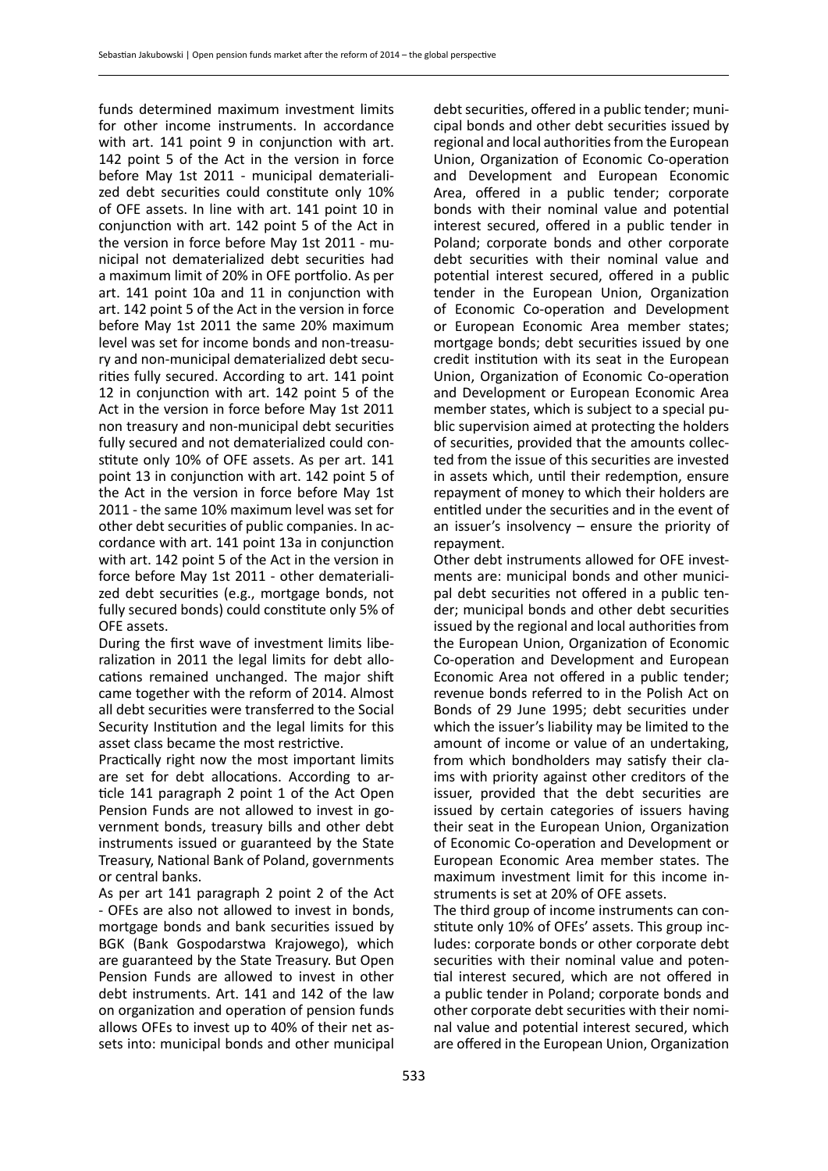funds determined maximum investment limits for other income instruments. In accordance with art. 141 point 9 in conjunction with art. 142 point 5 of the Act in the version in force before May 1st 2011 - municipal dematerialized debt securities could constitute only 10% of OFE assets. In line with art. 141 point 10 in conjunction with art. 142 point 5 of the Act in the version in force before May 1st 2011 - municipal not dematerialized debt securities had a maximum limit of 20% in OFE portfolio. As per art. 141 point 10a and 11 in conjunction with art. 142 point 5 of the Act in the version in force before May 1st 2011 the same 20% maximum level was set for income bonds and non-treasury and non-municipal dematerialized debt securities fully secured. According to art. 141 point 12 in conjunction with art. 142 point 5 of the Act in the version in force before May 1st 2011 non treasury and non-municipal debt securities fully secured and not dematerialized could constitute only 10% of OFE assets. As per art. 141 point 13 in conjunction with art. 142 point 5 of the Act in the version in force before May 1st 2011 - the same 10% maximum level was set for other debt securities of public companies. In accordance with art. 141 point 13a in conjunction with art. 142 point 5 of the Act in the version in force before May 1st 2011 - other dematerialized debt securities (e.g., mortgage bonds, not fully secured bonds) could constitute only 5% of OFE assets.

During the first wave of investment limits liberalization in 2011 the legal limits for debt allocations remained unchanged. The major shift came together with the reform of 2014. Almost all debt securities were transferred to the Social Security Institution and the legal limits for this asset class became the most restrictive.

Practically right now the most important limits are set for debt allocations. According to article 141 paragraph 2 point 1 of the Act Open Pension Funds are not allowed to invest in government bonds, treasury bills and other debt instruments issued or guaranteed by the State Treasury, National Bank of Poland, governments or central banks.

As per art 141 paragraph 2 point 2 of the Act - OFEs are also not allowed to invest in bonds, mortgage bonds and bank securities issued by BGK (Bank Gospodarstwa Krajowego), which are guaranteed by the State Treasury. But Open Pension Funds are allowed to invest in other debt instruments. Art. 141 and 142 of the law on organization and operation of pension funds allows OFEs to invest up to 40% of their net assets into: municipal bonds and other municipal debt securities, offered in a public tender; municipal bonds and other debt securities issued by regional and local authorities from the European Union, Organization of Economic Co-operation and Development and European Economic Area, offered in a public tender; corporate bonds with their nominal value and potential interest secured, offered in a public tender in Poland; corporate bonds and other corporate debt securities with their nominal value and potential interest secured, offered in a public tender in the European Union, Organization of Economic Co-operation and Development or European Economic Area member states; mortgage bonds; debt securities issued by one credit institution with its seat in the European Union, Organization of Economic Co-operation and Development or European Economic Area member states, which is subject to a special public supervision aimed at protecting the holders of securities, provided that the amounts collected from the issue of this securities are invested in assets which, until their redemption, ensure repayment of money to which their holders are entitled under the securities and in the event of an issuer's insolvency – ensure the priority of repayment.

Other debt instruments allowed for OFE investments are: municipal bonds and other municipal debt securities not offered in a public tender; municipal bonds and other debt securities issued by the regional and local authorities from the European Union, Organization of Economic Co-operation and Development and European Economic Area not offered in a public tender; revenue bonds referred to in the Polish Act on Bonds of 29 June 1995; debt securities under which the issuer's liability may be limited to the amount of income or value of an undertaking, from which bondholders may satisfy their claims with priority against other creditors of the issuer, provided that the debt securities are issued by certain categories of issuers having their seat in the European Union, Organization of Economic Co-operation and Development or European Economic Area member states. The maximum investment limit for this income instruments is set at 20% of OFE assets.

The third group of income instruments can constitute only 10% of OFEs' assets. This group includes: corporate bonds or other corporate debt securities with their nominal value and potential interest secured, which are not offered in a public tender in Poland; corporate bonds and other corporate debt securities with their nominal value and potential interest secured, which are offered in the European Union, Organization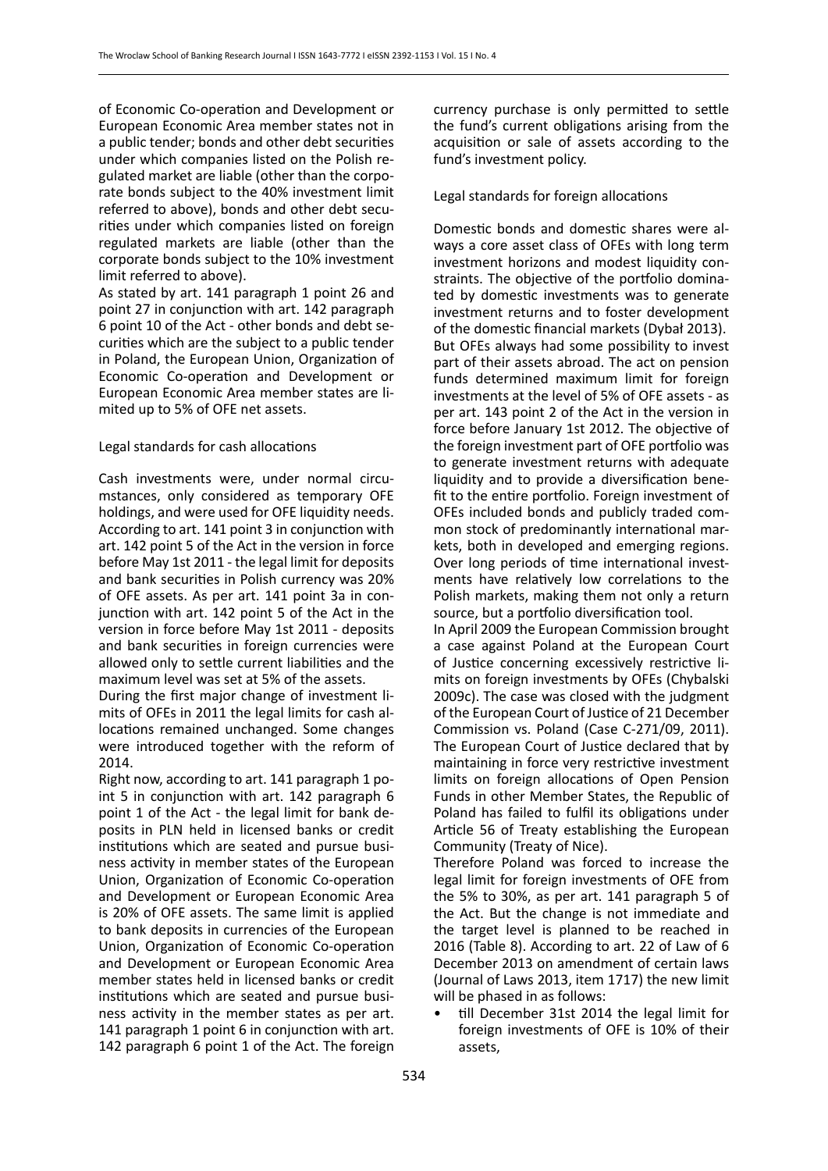of Economic Co-operation and Development or European Economic Area member states not in a public tender; bonds and other debt securities under which companies listed on the Polish regulated market are liable (other than the corporate bonds subject to the 40% investment limit referred to above), bonds and other debt securities under which companies listed on foreign regulated markets are liable (other than the corporate bonds subject to the 10% investment limit referred to above).

As stated by art. 141 paragraph 1 point 26 and point 27 in conjunction with art. 142 paragraph 6 point 10 of the Act - other bonds and debt securities which are the subject to a public tender in Poland, the European Union, Organization of Economic Co-operation and Development or European Economic Area member states are limited up to 5% of OFE net assets.

# Legal standards for cash allocations

Cash investments were, under normal circumstances, only considered as temporary OFE holdings, and were used for OFE liquidity needs. According to art. 141 point 3 in conjunction with art. 142 point 5 of the Act in the version in force before May 1st 2011 - the legal limit for deposits and bank securities in Polish currency was 20% of OFE assets. As per art. 141 point 3a in conjunction with art. 142 point 5 of the Act in the version in force before May 1st 2011 - deposits and bank securities in foreign currencies were allowed only to settle current liabilities and the maximum level was set at 5% of the assets.

During the first major change of investment limits of OFEs in 2011 the legal limits for cash allocations remained unchanged. Some changes were introduced together with the reform of 2014.

Right now, according to art. 141 paragraph 1 point 5 in conjunction with art. 142 paragraph 6 point 1 of the Act - the legal limit for bank deposits in PLN held in licensed banks or credit institutions which are seated and pursue business activity in member states of the European Union, Organization of Economic Co-operation and Development or European Economic Area is 20% of OFE assets. The same limit is applied to bank deposits in currencies of the European Union, Organization of Economic Co-operation and Development or European Economic Area member states held in licensed banks or credit institutions which are seated and pursue business activity in the member states as per art. 141 paragraph 1 point 6 in conjunction with art. 142 paragraph 6 point 1 of the Act. The foreign

currency purchase is only permitted to settle the fund's current obligations arising from the acquisition or sale of assets according to the fund's investment policy.

#### Legal standards for foreign allocations

Domestic bonds and domestic shares were always a core asset class of OFEs with long term investment horizons and modest liquidity constraints. The objective of the portfolio dominated by domestic investments was to generate investment returns and to foster development of the domestic financial markets (Dybał 2013). But OFEs always had some possibility to invest part of their assets abroad. The act on pension funds determined maximum limit for foreign investments at the level of 5% of OFE assets - as per art. 143 point 2 of the Act in the version in force before January 1st 2012. The objective of the foreign investment part of OFE portfolio was to generate investment returns with adequate liquidity and to provide a diversification benefit to the entire portfolio. Foreign investment of OFEs included bonds and publicly traded common stock of predominantly international markets, both in developed and emerging regions. Over long periods of time international investments have relatively low correlations to the Polish markets, making them not only a return source, but a portfolio diversification tool.

In April 2009 the European Commission brought a case against Poland at the European Court of Justice concerning excessively restrictive limits on foreign investments by OFEs (Chybalski 2009c). The case was closed with the judgment of the European Court of Justice of 21 December Commission vs. Poland (Case C‑271/09, 2011). The European Court of Justice declared that by maintaining in force very restrictive investment limits on foreign allocations of Open Pension Funds in other Member States, the Republic of Poland has failed to fulfil its obligations under Article 56 of Treaty establishing the European Community (Treaty of Nice).

Therefore Poland was forced to increase the legal limit for foreign investments of OFE from the 5% to 30%, as per art. 141 paragraph 5 of the Act. But the change is not immediate and the target level is planned to be reached in 2016 (Table 8). According to art. 22 of Law of 6 December 2013 on amendment of certain laws (Journal of Laws 2013, item 1717) the new limit will be phased in as follows:

• till December 31st 2014 the legal limit for foreign investments of OFE is 10% of their assets,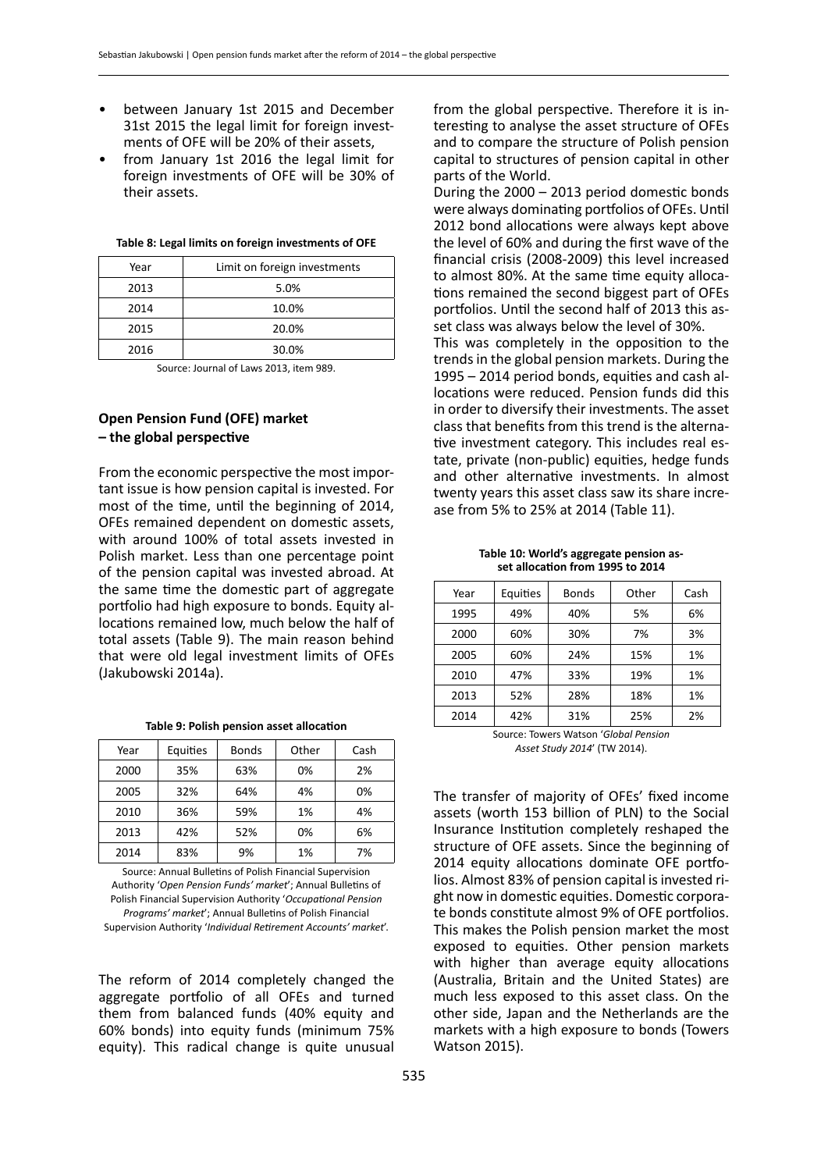- between January 1st 2015 and December 31st 2015 the legal limit for foreign investments of OFE will be 20% of their assets,
- from January 1st 2016 the legal limit for foreign investments of OFE will be 30% of their assets.

| Year | Limit on foreign investments |
|------|------------------------------|
| 2013 | 5.0%                         |
| 2014 | 10.0%                        |
| 2015 | 20.0%                        |
| 2016 | 30.0%                        |

Source: Journal of Laws 2013, item 989.

# **Open Pension Fund (OFE) market – the global perspective**

From the economic perspective the most important issue is how pension capital is invested. For most of the time, until the beginning of 2014, OFEs remained dependent on domestic assets, with around 100% of total assets invested in Polish market. Less than one percentage point of the pension capital was invested abroad. At the same time the domestic part of aggregate portfolio had high exposure to bonds. Equity allocations remained low, much below the half of total assets (Table 9). The main reason behind that were old legal investment limits of OFEs (Jakubowski 2014a).

| Table 9: Polish pension asset allocation |  |  |  |
|------------------------------------------|--|--|--|
|------------------------------------------|--|--|--|

| Year | Equities | <b>Bonds</b> | Other | Cash |
|------|----------|--------------|-------|------|
| 2000 | 35%      | 63%          | 0%    | 2%   |
| 2005 | 32%      | 64%          | 4%    | 0%   |
| 2010 | 36%      | 59%          | 1%    | 4%   |
| 2013 | 42%      | 52%          | 0%    | 6%   |
| 2014 | 83%      | 9%           | 1%    | 7%   |

Source: Annual Bulletins of Polish Financial Supervision Authority '*Open Pension Funds' market*'; Annual Bulletins of Polish Financial Supervision Authority '*Occupational Pension Programs' market*'; Annual Bulletins of Polish Financial Supervision Authority '*Individual Retirement Accounts' market*'.

The reform of 2014 completely changed the aggregate portfolio of all OFEs and turned them from balanced funds (40% equity and 60% bonds) into equity funds (minimum 75% equity). This radical change is quite unusual from the global perspective. Therefore it is interesting to analyse the asset structure of OFEs and to compare the structure of Polish pension capital to structures of pension capital in other parts of the World.

During the 2000 – 2013 period domestic bonds were always dominating portfolios of OFEs. Until 2012 bond allocations were always kept above the level of 60% and during the first wave of the financial crisis (2008-2009) this level increased to almost 80%. At the same time equity allocations remained the second biggest part of OFEs portfolios. Until the second half of 2013 this asset class was always below the level of 30%. This was completely in the opposition to the trends in the global pension markets. During the 1995 – 2014 period bonds, equities and cash allocations were reduced. Pension funds did this in order to diversify their investments. The asset class that benefits from this trend is the alternative investment category. This includes real estate, private (non-public) equities, hedge funds and other alternative investments. In almost twenty years this asset class saw its share increase from 5% to 25% at 2014 (Table 11).

**Table 10: World's aggregate pension asset allocation from 1995 to 2014**

| Year | Equities | <b>Bonds</b> | Other | Cash |
|------|----------|--------------|-------|------|
| 1995 | 49%      | 40%          | 5%    | 6%   |
| 2000 | 60%      | 30%          | 7%    | 3%   |
| 2005 | 60%      | 24%          | 15%   | 1%   |
| 2010 | 47%      | 33%          | 19%   | 1%   |
| 2013 | 52%      | 28%          | 18%   | 1%   |
| 2014 | 42%      | 31%          | 25%   | 2%   |

Source: Towers Watson '*Global Pension Asset Study 2014*' (TW 2014).

The transfer of majority of OFEs' fixed income assets (worth 153 billion of PLN) to the Social Insurance Institution completely reshaped the structure of OFE assets. Since the beginning of 2014 equity allocations dominate OFE portfolios. Almost 83% of pension capital is invested right now in domestic equities. Domestic corporate bonds constitute almost 9% of OFE portfolios. This makes the Polish pension market the most exposed to equities. Other pension markets with higher than average equity allocations (Australia, Britain and the United States) are much less exposed to this asset class. On the other side, Japan and the Netherlands are the markets with a high exposure to bonds (Towers Watson 2015).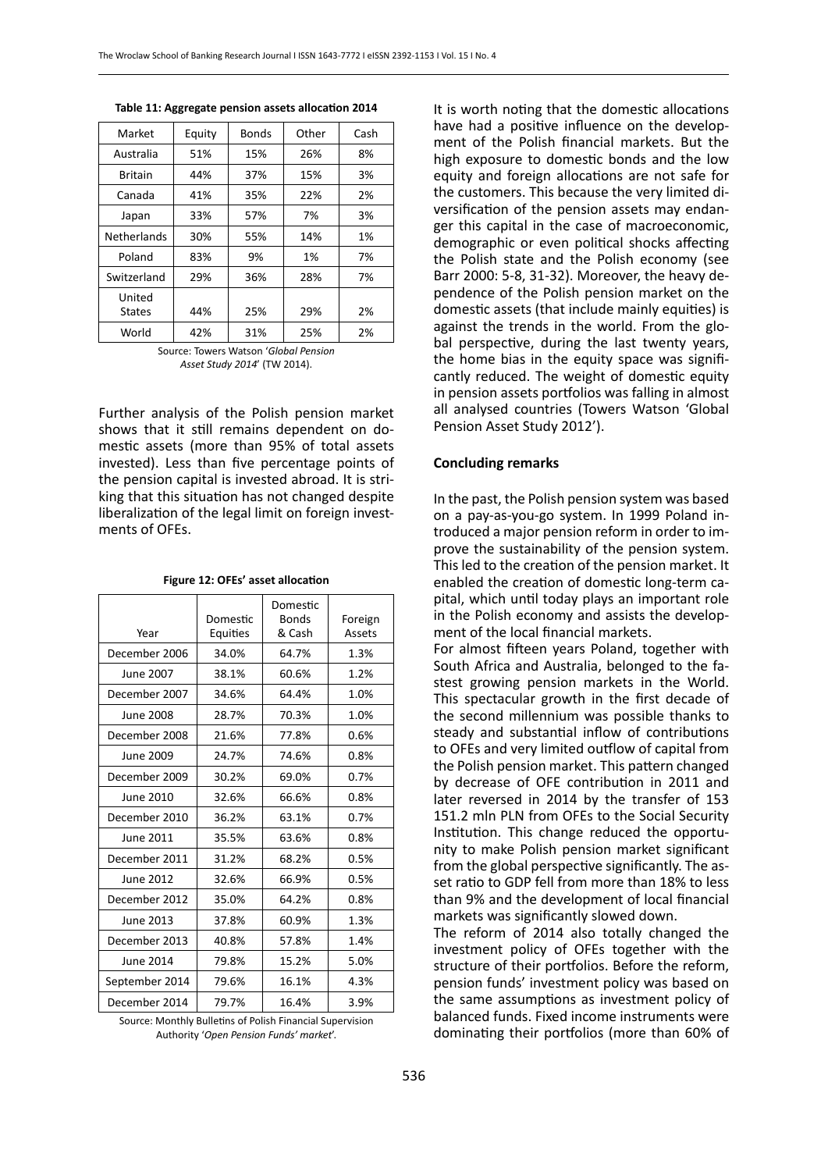| Market                  | Equity | <b>Bonds</b> | Other | Cash |
|-------------------------|--------|--------------|-------|------|
| Australia               | 51%    | 15%          | 26%   | 8%   |
| <b>Britain</b>          | 44%    | 37%          | 15%   | 3%   |
| Canada                  | 41%    | 35%          | 22%   | 2%   |
| Japan                   | 33%    | 57%          | 7%    | 3%   |
| <b>Netherlands</b>      | 30%    | 55%          | 14%   | 1%   |
| Poland                  | 83%    | 9%           | 1%    | 7%   |
| Switzerland             | 29%    | 36%          | 28%   | 7%   |
| United<br><b>States</b> | 44%    | 25%          | 29%   | 2%   |
| World                   | 42%    | 31%          | 25%   | 2%   |

**Table 11: Aggregate pension assets allocation 2014**

Source: Towers Watson '*Global Pension Asset Study 2014*' (TW 2014).

Further analysis of the Polish pension market shows that it still remains dependent on domestic assets (more than 95% of total assets invested). Less than five percentage points of the pension capital is invested abroad. It is striking that this situation has not changed despite liberalization of the legal limit on foreign investments of OFEs.

| Year           | Domestic<br>Equities | Domestic<br><b>Bonds</b><br>& Cash | Foreign<br>Assets |
|----------------|----------------------|------------------------------------|-------------------|
| December 2006  | 34.0%                | 64.7%                              | 1.3%              |
| June 2007      | 38.1%                | 60.6%                              | 1.2%              |
| December 2007  | 34.6%                | 64.4%                              | 1.0%              |
| June 2008      | 28.7%                | 70.3%                              | 1.0%              |
| December 2008  | 21.6%                | 77.8%                              | 0.6%              |
| June 2009      | 24.7%                | 74.6%                              | 0.8%              |
| December 2009  | 30.2%                | 69.0%                              | 0.7%              |
| June 2010      | 32.6%                | 66.6%                              | 0.8%              |
| December 2010  | 36.2%                | 63.1%                              | 0.7%              |
| June 2011      | 35.5%                | 63.6%                              | 0.8%              |
| December 2011  | 31.2%                | 68.2%                              | 0.5%              |
| June 2012      | 32.6%                | 66.9%                              | 0.5%              |
| December 2012  | 35.0%                | 64.2%                              | 0.8%              |
| June 2013      | 37.8%                | 60.9%                              | 1.3%              |
| December 2013  | 40.8%                | 57.8%                              | 1.4%              |
| June 2014      | 79.8%                | 15.2%                              | 5.0%              |
| September 2014 | 79.6%                | 16.1%                              | 4.3%              |
| December 2014  | 79.7%                | 16.4%                              | 3.9%              |

**Figure 12: OFEs' asset allocation**

Source: Monthly Bulletins of Polish Financial Supervision Authority '*Open Pension Funds' market*'.

It is worth noting that the domestic allocations have had a positive influence on the development of the Polish financial markets. But the high exposure to domestic bonds and the low equity and foreign allocations are not safe for the customers. This because the very limited diversification of the pension assets may endanger this capital in the case of macroeconomic, demographic or even political shocks affecting the Polish state and the Polish economy (see Barr 2000: 5-8, 31-32). Moreover, the heavy dependence of the Polish pension market on the domestic assets (that include mainly equities) is against the trends in the world. From the global perspective, during the last twenty years, the home bias in the equity space was significantly reduced. The weight of domestic equity in pension assets portfolios was falling in almost all analysed countries (Towers Watson 'Global Pension Asset Study 2012').

#### **Concluding remarks**

In the past, the Polish pension system was based on a pay-as-you-go system. In 1999 Poland introduced a major pension reform in order to improve the sustainability of the pension system. This led to the creation of the pension market. It enabled the creation of domestic long-term capital, which until today plays an important role in the Polish economy and assists the development of the local financial markets.

For almost fifteen years Poland, together with South Africa and Australia, belonged to the fastest growing pension markets in the World. This spectacular growth in the first decade of the second millennium was possible thanks to steady and substantial inflow of contributions to OFEs and very limited outflow of capital from the Polish pension market. This pattern changed by decrease of OFE contribution in 2011 and later reversed in 2014 by the transfer of 153 151.2 mln PLN from OFEs to the Social Security Institution. This change reduced the opportunity to make Polish pension market significant from the global perspective significantly. The asset ratio to GDP fell from more than 18% to less than 9% and the development of local financial markets was significantly slowed down.

The reform of 2014 also totally changed the investment policy of OFEs together with the structure of their portfolios. Before the reform, pension funds' investment policy was based on the same assumptions as investment policy of balanced funds. Fixed income instruments were dominating their portfolios (more than 60% of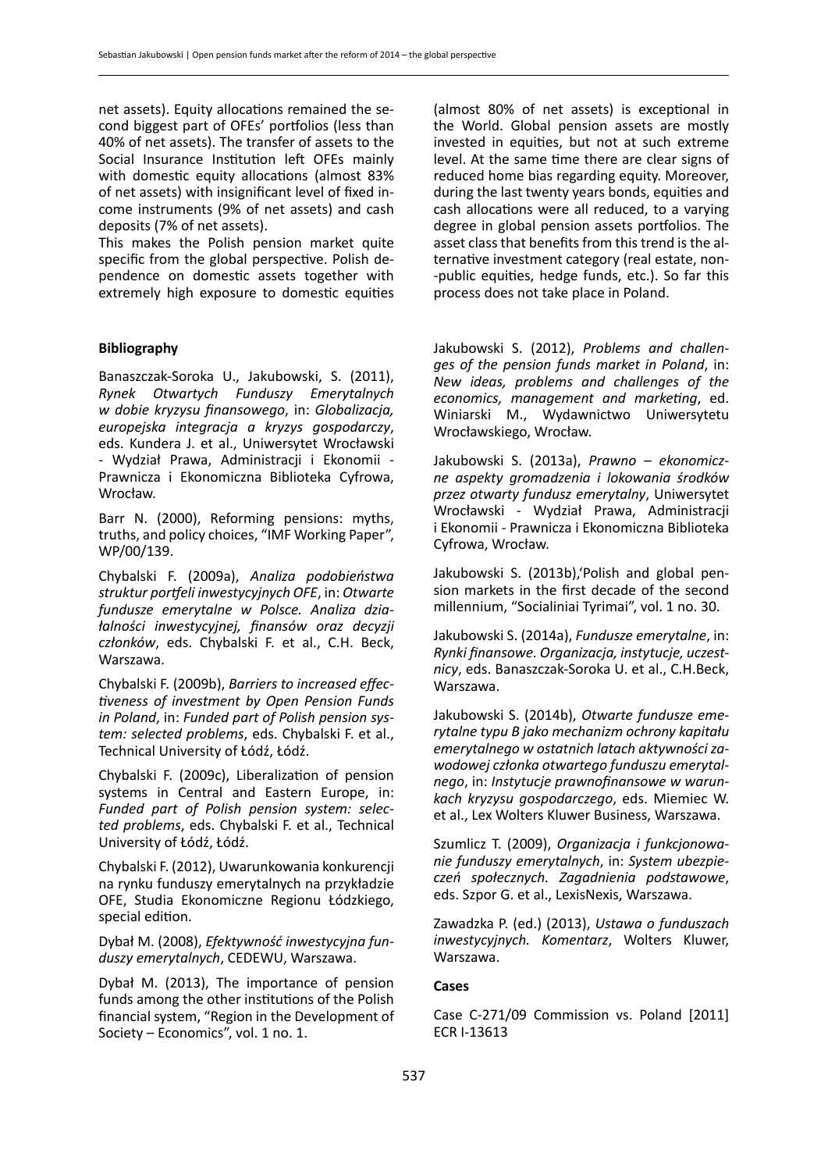net assets). Equity allocations remained the second biggest part of OFEs' portfolios (less than 40% of net assets). The transfer of assets to the Social Insurance Institution left OFEs mainly with domestic equity allocations (almost 83% of net assets) with insignificant level of fixed income instruments (9% of net assets) and cash deposits (7% of net assets).

This makes the Polish pension market quite specific from the global perspective. Polish dependence on domestic assets together with extremely high exposure to domestic equities

# **Bibliography**

Banaszczak-Soroka U., Jakubowski, S. (2011), *Rynek Otwartych Funduszy Emerytalnych w dobie kryzysu finansowego*, in: *Globalizacja, europejska integracja a kryzys gospodarczy*, eds. Kundera J. et al., Uniwersytet Wrocławski - Wydział Prawa, Administracji i Ekonomii - Prawnicza i Ekonomiczna Biblioteka Cyfrowa, Wrocław.

Barr N. (2000), Reforming pensions: myths, truths, and policy choices, "IMF Working Paper", WP/00/139.

Chybalski F. (2009a), *Analiza podobieństwa struktur portfeli inwestycyjnych OFE*, in: *Otwarte fundusze emerytalne w Polsce. Analiza działalności inwestycyjnej, finansów oraz decyzji członków*, eds. Chybalski F. et al., C.H. Beck, Warszawa.

Chybalski F. (2009b), *Barriers to increased effectiveness of investment by Open Pension Funds in Poland*, in: *Funded part of Polish pension system: selected problems*, eds. Chybalski F. et al., Technical University of Łódź, Łódź.

Chybalski F. (2009c), Liberalization of pension systems in Central and Eastern Europe, in: *Funded part of Polish pension system: selected problems*, eds. Chybalski F. et al., Technical University of Łódź, Łódź.

Chybalski F. (2012), Uwarunkowania konkurencji na rynku funduszy emerytalnych na przykładzie OFE, Studia Ekonomiczne Regionu Łódzkiego, special edition.

Dybał M. (2008), *Efektywność inwestycyjna funduszy emerytalnych*, CEDEWU, Warszawa.

Dybał M. (2013), The importance of pension funds among the other institutions of the Polish financial system, "Region in the Development of Society – Economics", vol. 1 no. 1.

(almost 80% of net assets) is exceptional in the World. Global pension assets are mostly invested in equities, but not at such extreme level. At the same time there are clear signs of reduced home bias regarding equity. Moreover, during the last twenty years bonds, equities and cash allocations were all reduced, to a varying degree in global pension assets portfolios. The asset class that benefits from this trend is the alternative investment category (real estate, non- -public equities, hedge funds, etc.). So far this process does not take place in Poland.

Jakubowski S. (2012), *Problems and challenges of the pension funds market in Poland*, in: *New ideas, problems and challenges of the economics, management and marketing*, ed. Winiarski M., Wydawnictwo Uniwersytetu Wrocławskiego, Wrocław.

Jakubowski S. (2013a), *Prawno – ekonomiczne aspekty gromadzenia i lokowania środków przez otwarty fundusz emerytalny*, Uniwersytet Wrocławski - Wydział Prawa, Administracji i Ekonomii - Prawnicza i Ekonomiczna Biblioteka Cyfrowa, Wrocław.

Jakubowski S. (2013b),'Polish and global pension markets in the first decade of the second millennium, "Socialiniai Tyrimai", vol. 1 no. 30.

Jakubowski S. (2014a), *Fundusze emerytalne*, in: *Rynki finansowe. Organizacja, instytucje, uczestnicy*, eds. Banaszczak-Soroka U. et al., C.H.Beck, Warszawa.

Jakubowski S. (2014b), *Otwarte fundusze emerytalne typu B jako mechanizm ochrony kapitału emerytalnego w ostatnich latach aktywności zawodowej członka otwartego funduszu emerytalnego*, in: *Instytucje prawnofinansowe w warunkach kryzysu gospodarczego*, eds. Miemiec W. et al., Lex Wolters Kluwer Business, Warszawa.

Szumlicz T. (2009), *Organizacja i funkcjonowanie funduszy emerytalnych*, in: *System ubezpieczeń społecznych. Zagadnienia podstawowe*, eds. Szpor G. et al., LexisNexis, Warszawa.

Zawadzka P. (ed.) (2013), *Ustawa o funduszach inwestycyjnych. Komentarz*, Wolters Kluwer, Warszawa.

#### **Cases**

Case C‑271/09 Commission vs. Poland [2011] ECR I-13613